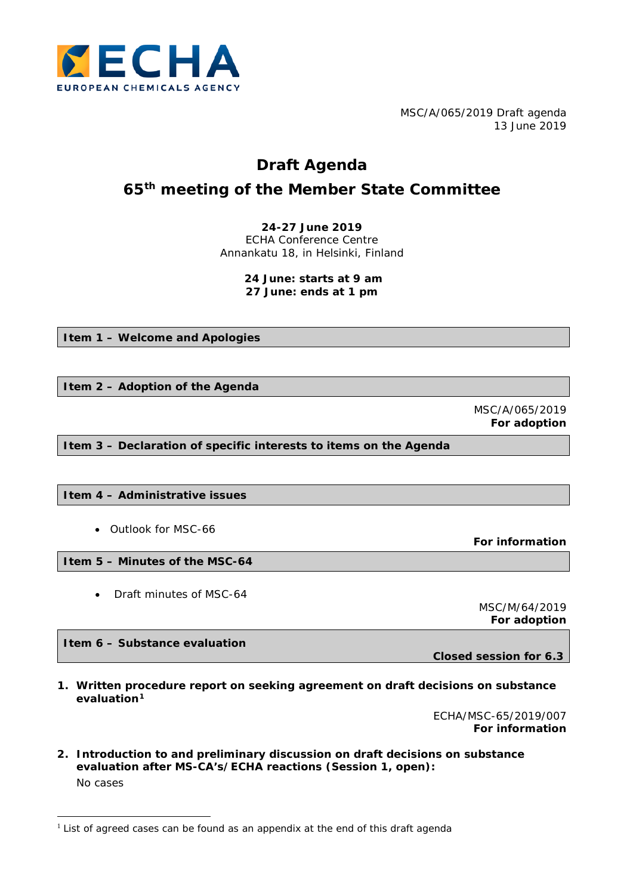

MSC/A/065/2019 Draft agenda 13 June 2019

# **Draft Agenda 65th meeting of the Member State Committee**

**24-27 June 2019** ECHA Conference Centre Annankatu 18, in Helsinki, Finland

## **24 June: starts at 9 am 27 June: ends at 1 pm**

**Item 1 – Welcome and Apologies** 

**Item 2 – Adoption of the Agenda**

MSC/A/065/2019 *For adoption*

**Item 3 – Declaration of specific interests to items on the Agenda**

**Item 4 – Administrative issues**

• Outlook for MSC-66

**Item 5 – Minutes of the MSC-64**

• Draft minutes of MSC-64

MSC/M/64/2019 *For adoption*

*For information*

**Item 6 – Substance evaluation**

 $\overline{a}$ 

*Closed session for 6.3*

**1. Written procedure report on seeking agreement on draft decisions on substance evaluation[1](#page-0-0)**

> ECHA/MSC-65/2019/007 *For information*

**2. Introduction to and preliminary discussion on draft decisions on substance evaluation after MS-CA's/ECHA reactions** *(Session 1, open)***:** No cases

<span id="page-0-0"></span> $1$  List of agreed cases can be found as an appendix at the end of this draft agenda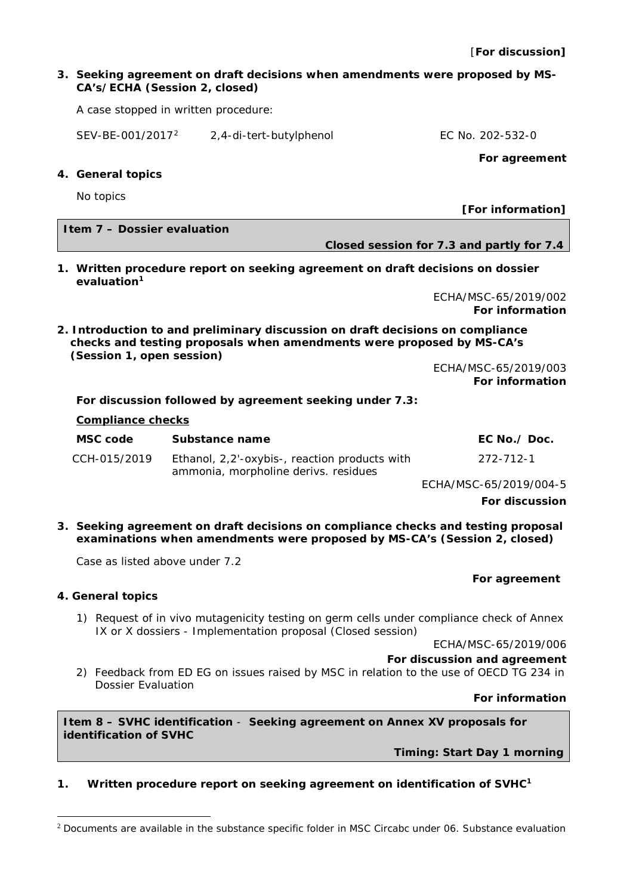|                                                                                                                                                                                      | 3. Seeking agreement on draft decisions when amendments were proposed by MS-<br>CA's/ECHA (Session 2, closed) |                                                                                       |                                                |  |  |  |
|--------------------------------------------------------------------------------------------------------------------------------------------------------------------------------------|---------------------------------------------------------------------------------------------------------------|---------------------------------------------------------------------------------------|------------------------------------------------|--|--|--|
|                                                                                                                                                                                      | A case stopped in written procedure:                                                                          |                                                                                       |                                                |  |  |  |
|                                                                                                                                                                                      | SEV-BE-001/2017 <sup>2</sup>                                                                                  | 2,4-di-tert-butylphenol                                                               | EC No. 202-532-0                               |  |  |  |
|                                                                                                                                                                                      |                                                                                                               |                                                                                       | For agreement                                  |  |  |  |
|                                                                                                                                                                                      | 4. General topics                                                                                             |                                                                                       |                                                |  |  |  |
|                                                                                                                                                                                      | No topics                                                                                                     |                                                                                       | [For information]                              |  |  |  |
|                                                                                                                                                                                      | <b>Item 7 - Dossier evaluation</b>                                                                            |                                                                                       |                                                |  |  |  |
|                                                                                                                                                                                      |                                                                                                               |                                                                                       | Closed session for 7.3 and partly for 7.4      |  |  |  |
|                                                                                                                                                                                      | 1. Written procedure report on seeking agreement on draft decisions on dossier<br>evaluation <sup>1</sup>     |                                                                                       |                                                |  |  |  |
|                                                                                                                                                                                      |                                                                                                               |                                                                                       | ECHA/MSC-65/2019/002<br><b>For information</b> |  |  |  |
| 2. Introduction to and preliminary discussion on draft decisions on compliance<br>checks and testing proposals when amendments were proposed by MS-CA's<br>(Session 1, open session) |                                                                                                               |                                                                                       |                                                |  |  |  |
|                                                                                                                                                                                      |                                                                                                               |                                                                                       | ECHA/MSC-65/2019/003<br><b>For information</b> |  |  |  |
| For discussion followed by agreement seeking under 7.3:                                                                                                                              |                                                                                                               |                                                                                       |                                                |  |  |  |
|                                                                                                                                                                                      | <b>Compliance checks</b>                                                                                      |                                                                                       |                                                |  |  |  |
|                                                                                                                                                                                      | <b>MSC code</b>                                                                                               | Substance name                                                                        | EC No./ Doc.                                   |  |  |  |
|                                                                                                                                                                                      | CCH-015/2019                                                                                                  | Ethanol, 2,2'-oxybis-, reaction products with<br>ammonia, morpholine derivs. residues | 272-712-1                                      |  |  |  |
|                                                                                                                                                                                      |                                                                                                               |                                                                                       | ECHA/MSC-65/2019/004-5                         |  |  |  |
|                                                                                                                                                                                      |                                                                                                               |                                                                                       | <b>For discussion</b>                          |  |  |  |
|                                                                                                                                                                                      |                                                                                                               | 3. Seeking agreement on draft decisions on compliance checks and testing proposal     |                                                |  |  |  |

**examinations when amendments were proposed by MS-CA's** *(Session 2, closed)*

Case as listed above under 7.2

## **4. General topics**

 $\overline{a}$ 

1) Request of *in vivo* mutagenicity testing on germ cells under compliance check of Annex IX or X dossiers - Implementation proposal *(Closed session)*

ECHA/MSC-65/2019/006

*For discussion and agreement*

2) Feedback from ED EG on issues raised by MSC in relation to the use of OECD TG 234 in Dossier Evaluation

*For information*

 *For agreement*

**Item 8 – SVHC identification** - **Seeking agreement on Annex XV proposals for identification of SVHC**

*Timing: Start Day 1 morning*

# **1. Written procedure report on seeking agreement on identification of SVHC1**

<span id="page-1-0"></span><sup>&</sup>lt;sup>2</sup> Documents are available in the substance specific folder in MSC Circabc under 06. Substance evaluation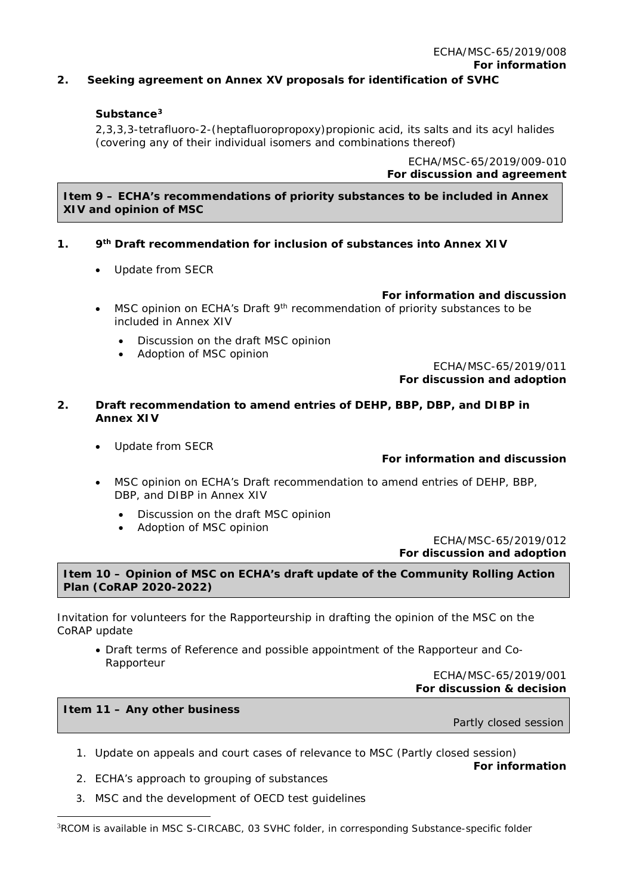# **2. Seeking agreement on Annex XV proposals for identification of SVHC**

#### **Substance[3](#page-2-0)**

2,3,3,3-tetrafluoro-2-(heptafluoropropoxy)propionic acid, its salts and its acyl halides (covering any of their individual isomers and combinations thereof)

> ECHA/MSC-65/2019/009-010 *For discussion and agreement*

ECHA/MSC-65/2019/008

*For information*

#### **Item 9 – ECHA's recommendations of priority substances to be included in Annex XIV and opinion of MSC**

- **1. 9th Draft recommendation for inclusion of substances into Annex XIV**
	- Update from SECR

#### *For information and discussion*

- MSC opinion on ECHA's Draft 9<sup>th</sup> recommendation of priority substances to be included in Annex XIV
	- Discussion on the draft MSC opinion
	- Adoption of MSC opinion

ECHA/MSC-65/2019/011 *For discussion and adoption*

#### **2. Draft recommendation to amend entries of DEHP, BBP, DBP, and DIBP in Annex XIV**

• Update from SECR

#### *For information and discussion*

- MSC opinion on ECHA's Draft recommendation to amend entries of DEHP, BBP, DBP, and DIBP in Annex XIV
	- Discussion on the draft MSC opinion
	- Adoption of MSC opinion

#### ECHA/MSC-65/2019/012 *For discussion and adoption*

**Item 10 – Opinion of MSC on ECHA's draft update of the Community Rolling Action Plan (CoRAP 2020-2022)**

Invitation for volunteers for the Rapporteurship in drafting the opinion of the MSC on the CoRAP update

• Draft terms of Reference and possible appointment of the Rapporteur and Co-Rapporteur

> ECHA/MSC-65/2019/001 *For discussion & decision*

> > *Partly closed session*

#### **Item 11 – Any other business**

 $\overline{a}$ 

1. Update on appeals and court cases of relevance to MSC (*Partly closed session)*

*For information*

- 2. ECHA's approach to grouping of substances
- 3. MSC and the development of OECD test guidelines

<span id="page-2-0"></span><sup>&</sup>lt;sup>3</sup>RCOM is available in MSC S-CIRCABC, 03 SVHC folder, in corresponding Substance-specific folder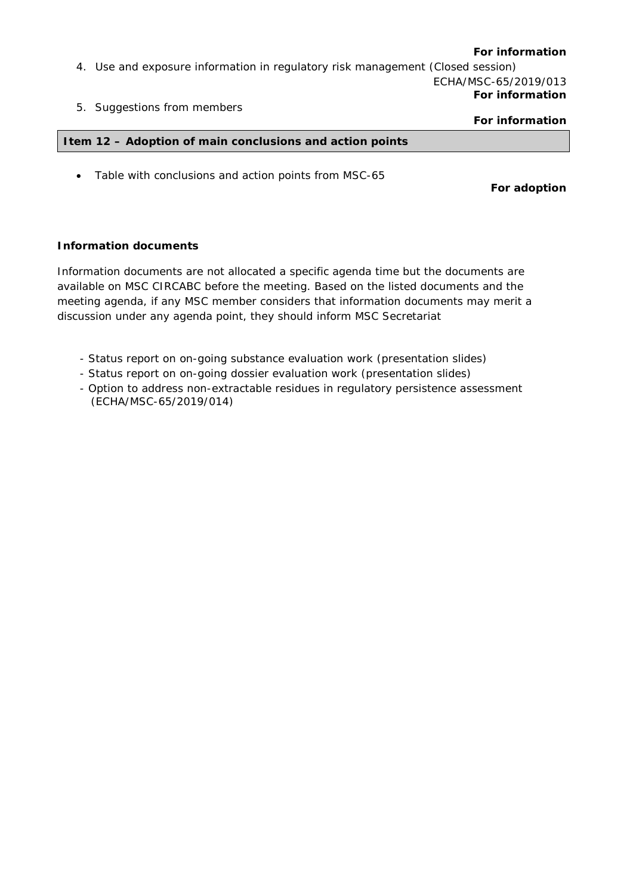#### *For information*

*For information* 

4. Use and exposure information in regulatory risk management *(Closed session)*

ECHA/MSC-65/2019/013 *For information*

5. Suggestions from members

## **Item 12 – Adoption of main conclusions and action points**

Table with conclusions and action points from MSC-65

*For adoption*

## *Information documents*

*Information documents are not allocated a specific agenda time but the documents are available on MSC CIRCABC before the meeting. Based on the listed documents and the meeting agenda, if any MSC member considers that information documents may merit a discussion under any agenda point, they should inform MSC Secretariat* 

- Status report on on-going substance evaluation work (presentation slides)
- Status report on on-going dossier evaluation work (presentation slides)
- Option to address non-extractable residues in regulatory persistence assessment (ECHA/MSC-65/2019/014)